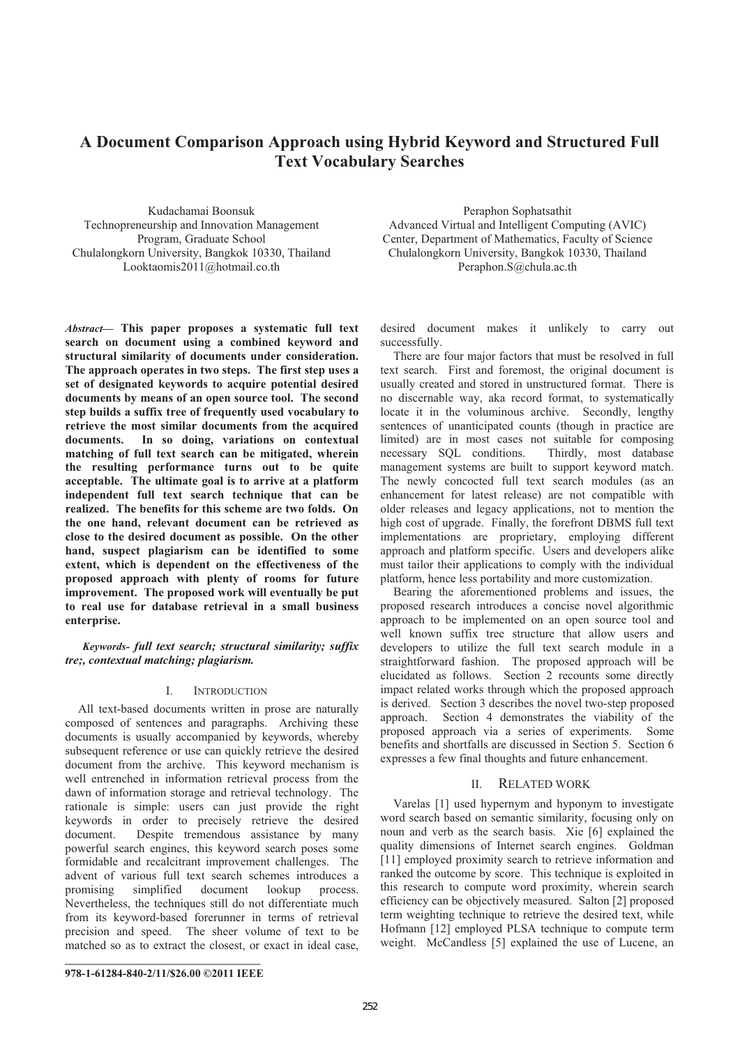# **A Document Comparison Approach using Hybrid Keyword and Structured Full Text Vocabulary Searches**

Kudachamai Boonsuk Technopreneurship and Innovation Management Program, Graduate School Chulalongkorn University, Bangkok 10330, Thailand Looktaomis2011@hotmail.co.th

*Abstract***— This paper proposes a systematic full text search on document using a combined keyword and structural similarity of documents under consideration. The approach operates in two steps. The first step uses a set of designated keywords to acquire potential desired documents by means of an open source tool. The second step builds a suffix tree of frequently used vocabulary to retrieve the most similar documents from the acquired documents. In so doing, variations on contextual matching of full text search can be mitigated, wherein the resulting performance turns out to be quite acceptable. The ultimate goal is to arrive at a platform independent full text search technique that can be realized. The benefits for this scheme are two folds. On the one hand, relevant document can be retrieved as close to the desired document as possible. On the other hand, suspect plagiarism can be identified to some extent, which is dependent on the effectiveness of the proposed approach with plenty of rooms for future improvement. The proposed work will eventually be put to real use for database retrieval in a small business enterprise.**

*Keywords- full text search; structural similarity; suffix tre;, contextual matching; plagiarism.*

## I. INTRODUCTION

All text-based documents written in prose are naturally composed of sentences and paragraphs. Archiving these documents is usually accompanied by keywords, whereby subsequent reference or use can quickly retrieve the desired document from the archive. This keyword mechanism is well entrenched in information retrieval process from the dawn of information storage and retrieval technology. The rationale is simple: users can just provide the right keywords in order to precisely retrieve the desired document. Despite tremendous assistance by many powerful search engines, this keyword search poses some formidable and recalcitrant improvement challenges. The advent of various full text search schemes introduces a promising simplified document lookup process. Nevertheless, the techniques still do not differentiate much from its keyword-based forerunner in terms of retrieval precision and speed. The sheer volume of text to be matched so as to extract the closest, or exact in ideal case,

Peraphon Sophatsathit Advanced Virtual and Intelligent Computing (AVIC) Center, Department of Mathematics, Faculty of Science Chulalongkorn University, Bangkok 10330, Thailand Peraphon.S@chula.ac.th

desired document makes it unlikely to carry out successfully.

There are four major factors that must be resolved in full text search. First and foremost, the original document is usually created and stored in unstructured format. There is no discernable way, aka record format, to systematically locate it in the voluminous archive. Secondly, lengthy sentences of unanticipated counts (though in practice are limited) are in most cases not suitable for composing necessary SQL conditions. Thirdly, most database management systems are built to support keyword match. The newly concocted full text search modules (as an enhancement for latest release) are not compatible with older releases and legacy applications, not to mention the high cost of upgrade. Finally, the forefront DBMS full text implementations are proprietary, employing different approach and platform specific. Users and developers alike must tailor their applications to comply with the individual platform, hence less portability and more customization.

Bearing the aforementioned problems and issues, the proposed research introduces a concise novel algorithmic approach to be implemented on an open source tool and well known suffix tree structure that allow users and developers to utilize the full text search module in a straightforward fashion. The proposed approach will be elucidated as follows. Section 2 recounts some directly impact related works through which the proposed approach is derived. Section 3 describes the novel two-step proposed approach. Section 4 demonstrates the viability of the proposed approach via a series of experiments. Some benefits and shortfalls are discussed in Section 5. Section 6 expresses a few final thoughts and future enhancement.

# II. RELATED WORK

Varelas [1] used hypernym and hyponym to investigate word search based on semantic similarity, focusing only on noun and verb as the search basis. Xie [6] explained the quality dimensions of Internet search engines. Goldman [11] employed proximity search to retrieve information and ranked the outcome by score. This technique is exploited in this research to compute word proximity, wherein search efficiency can be objectively measured. Salton [2] proposed term weighting technique to retrieve the desired text, while Hofmann [12] employed PLSA technique to compute term weight. McCandless [5] explained the use of Lucene, an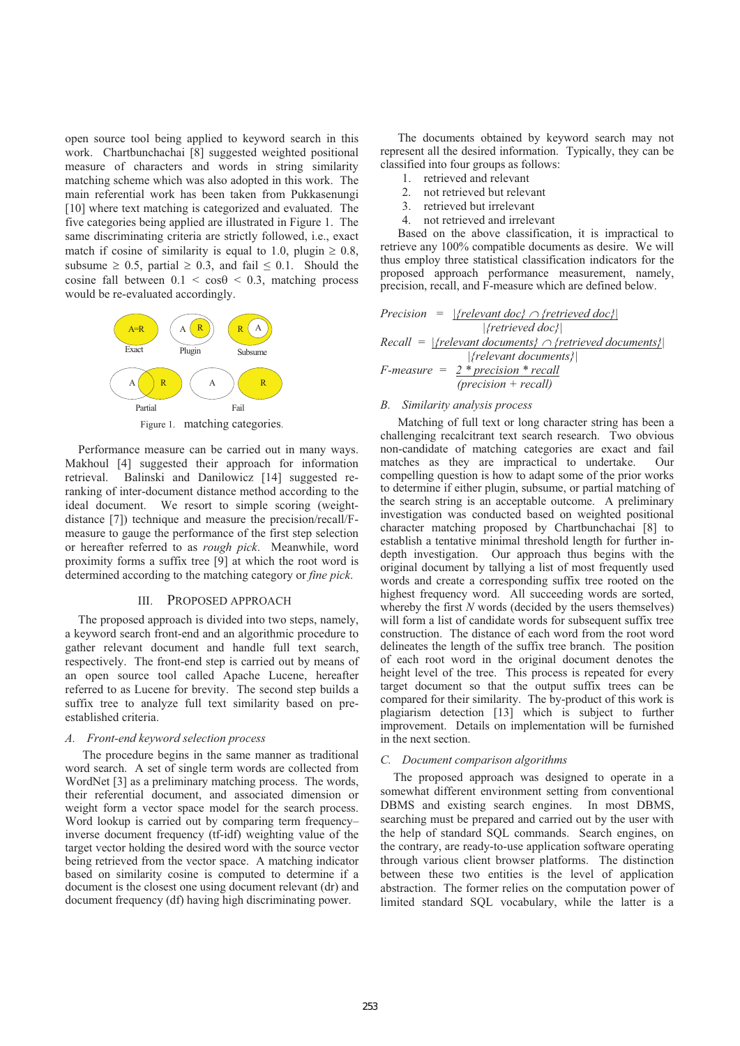open source tool being applied to keyword search in this work. Chartbunchachai [8] suggested weighted positional measure of characters and words in string similarity matching scheme which was also adopted in this work. The main referential work has been taken from Pukkasenungi [10] where text matching is categorized and evaluated. The five categories being applied are illustrated in Figure 1. The same discriminating criteria are strictly followed, i.e., exact match if cosine of similarity is equal to 1.0, plugin  $\geq 0.8$ , subsume  $\geq 0.5$ , partial  $\geq 0.3$ , and fail  $\leq 0.1$ . Should the cosine fall between  $0.1 \leq \cos\theta \leq 0.3$ , matching process would be re-evaluated accordingly.



Figure 1. matching categories.

Performance measure can be carried out in many ways. Makhoul [4] suggested their approach for information retrieval. Balinski and Danilowicz [14] suggested reranking of inter-document distance method according to the ideal document. We resort to simple scoring (weightdistance [7]) technique and measure the precision/recall/Fmeasure to gauge the performance of the first step selection or hereafter referred to as *rough pick*. Meanwhile, word proximity forms a suffix tree [9] at which the root word is determined according to the matching category or *fine pick*.

# III. PROPOSED APPROACH

The proposed approach is divided into two steps, namely, a keyword search front-end and an algorithmic procedure to gather relevant document and handle full text search, respectively. The front-end step is carried out by means of an open source tool called Apache Lucene, hereafter referred to as Lucene for brevity. The second step builds a suffix tree to analyze full text similarity based on preestablished criteria.

## *A. Front-end keyword selection process*

The procedure begins in the same manner as traditional word search. A set of single term words are collected from WordNet [3] as a preliminary matching process. The words, their referential document, and associated dimension or weight form a vector space model for the search process. Word lookup is carried out by comparing term frequency– inverse document frequency (tf-idf) weighting value of the target vector holding the desired word with the source vector being retrieved from the vector space. A matching indicator based on similarity cosine is computed to determine if a document is the closest one using document relevant (dr) and document frequency (df) having high discriminating power.

The documents obtained by keyword search may not represent all the desired information. Typically, they can be classified into four groups as follows:

- 1. retrieved and relevant
- 2. not retrieved but relevant
- 3. retrieved but irrelevant
- 4. not retrieved and irrelevant

Based on the above classification, it is impractical to retrieve any 100% compatible documents as desire. We will thus employ three statistical classification indicators for the proposed approach performance measurement, namely, precision, recall, and F-measure which are defined below.

$$
Precision = \frac{|\{relevant \, doc\} \cap \{retrieved \, doc\}|}{|\{retrieved \, doc\}|}
$$
\n
$$
Recall = \frac{|\{relevant \, documents\} \cap \{retrieved \, documents\}|}{|\{relevant \, documents\}|}
$$
\n
$$
F-measure = \frac{2 * precision * recall}{(precision + recall)}
$$

# *B. Similarity analysis process*

Matching of full text or long character string has been a challenging recalcitrant text search research. Two obvious non-candidate of matching categories are exact and fail matches as they are impractical to undertake. Our compelling question is how to adapt some of the prior works to determine if either plugin, subsume, or partial matching of the search string is an acceptable outcome. A preliminary investigation was conducted based on weighted positional character matching proposed by Chartbunchachai [8] to establish a tentative minimal threshold length for further indepth investigation. Our approach thus begins with the original document by tallying a list of most frequently used words and create a corresponding suffix tree rooted on the highest frequency word. All succeeding words are sorted, whereby the first *N* words (decided by the users themselves) will form a list of candidate words for subsequent suffix tree construction. The distance of each word from the root word delineates the length of the suffix tree branch. The position of each root word in the original document denotes the height level of the tree. This process is repeated for every target document so that the output suffix trees can be compared for their similarity. The by-product of this work is plagiarism detection [13] which is subject to further improvement. Details on implementation will be furnished in the next section.

#### *C. Document comparison algorithms*

The proposed approach was designed to operate in a somewhat different environment setting from conventional DBMS and existing search engines. In most DBMS, searching must be prepared and carried out by the user with the help of standard SQL commands. Search engines, on the contrary, are ready-to-use application software operating through various client browser platforms. The distinction between these two entities is the level of application abstraction. The former relies on the computation power of limited standard SQL vocabulary, while the latter is a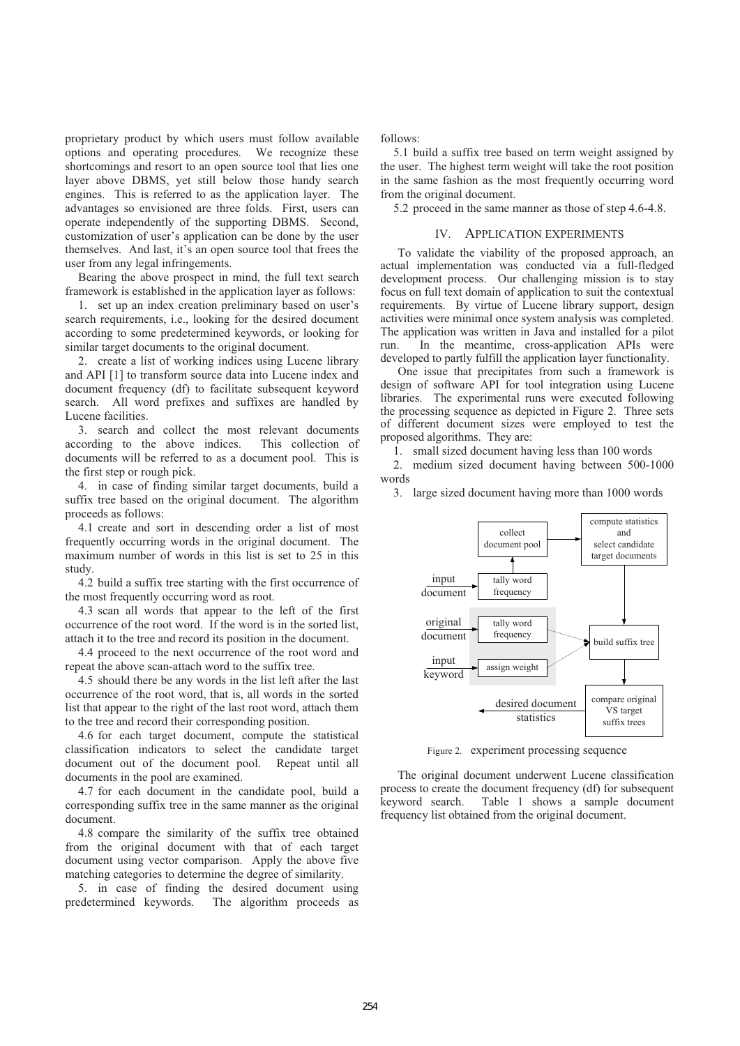proprietary product by which users must follow available options and operating procedures. We recognize these shortcomings and resort to an open source tool that lies one layer above DBMS, yet still below those handy search engines. This is referred to as the application layer. The advantages so envisioned are three folds. First, users can operate independently of the supporting DBMS. Second, customization of user's application can be done by the user themselves. And last, it's an open source tool that frees the user from any legal infringements.

Bearing the above prospect in mind, the full text search framework is established in the application layer as follows:

1. set up an index creation preliminary based on user's search requirements, i.e., looking for the desired document according to some predetermined keywords, or looking for similar target documents to the original document.

2. create a list of working indices using Lucene library and API [1] to transform source data into Lucene index and document frequency (df) to facilitate subsequent keyword search. All word prefixes and suffixes are handled by Lucene facilities.

3. search and collect the most relevant documents according to the above indices. This collection of documents will be referred to as a document pool. This is the first step or rough pick.

4. in case of finding similar target documents, build a suffix tree based on the original document. The algorithm proceeds as follows:

4.1 create and sort in descending order a list of most frequently occurring words in the original document. The maximum number of words in this list is set to 25 in this study.

4.2 build a suffix tree starting with the first occurrence of the most frequently occurring word as root.

4.3 scan all words that appear to the left of the first occurrence of the root word. If the word is in the sorted list, attach it to the tree and record its position in the document.

4.4 proceed to the next occurrence of the root word and repeat the above scan-attach word to the suffix tree.

4.5 should there be any words in the list left after the last occurrence of the root word, that is, all words in the sorted list that appear to the right of the last root word, attach them to the tree and record their corresponding position.

4.6 for each target document, compute the statistical classification indicators to select the candidate target document out of the document pool. Repeat until all documents in the pool are examined.

4.7 for each document in the candidate pool, build a corresponding suffix tree in the same manner as the original document.

4.8 compare the similarity of the suffix tree obtained from the original document with that of each target document using vector comparison. Apply the above five matching categories to determine the degree of similarity.

5. in case of finding the desired document using predetermined keywords. The algorithm proceeds as follows:

5.1 build a suffix tree based on term weight assigned by the user. The highest term weight will take the root position in the same fashion as the most frequently occurring word from the original document.

5.2 proceed in the same manner as those of step 4.6-4.8.

#### IV. APPLICATION EXPERIMENTS

To validate the viability of the proposed approach, an actual implementation was conducted via a full-fledged development process. Our challenging mission is to stay focus on full text domain of application to suit the contextual requirements. By virtue of Lucene library support, design activities were minimal once system analysis was completed. The application was written in Java and installed for a pilot run. In the meantime, cross-application APIs were developed to partly fulfill the application layer functionality.

One issue that precipitates from such a framework is design of software API for tool integration using Lucene libraries. The experimental runs were executed following the processing sequence as depicted in Figure 2. Three sets of different document sizes were employed to test the proposed algorithms. They are:

1. small sized document having less than 100 words

2. medium sized document having between 500-1000 words

3. large sized document having more than 1000 words



Figure 2. experiment processing sequence

The original document underwent Lucene classification process to create the document frequency (df) for subsequent keyword search. Table 1 shows a sample document frequency list obtained from the original document.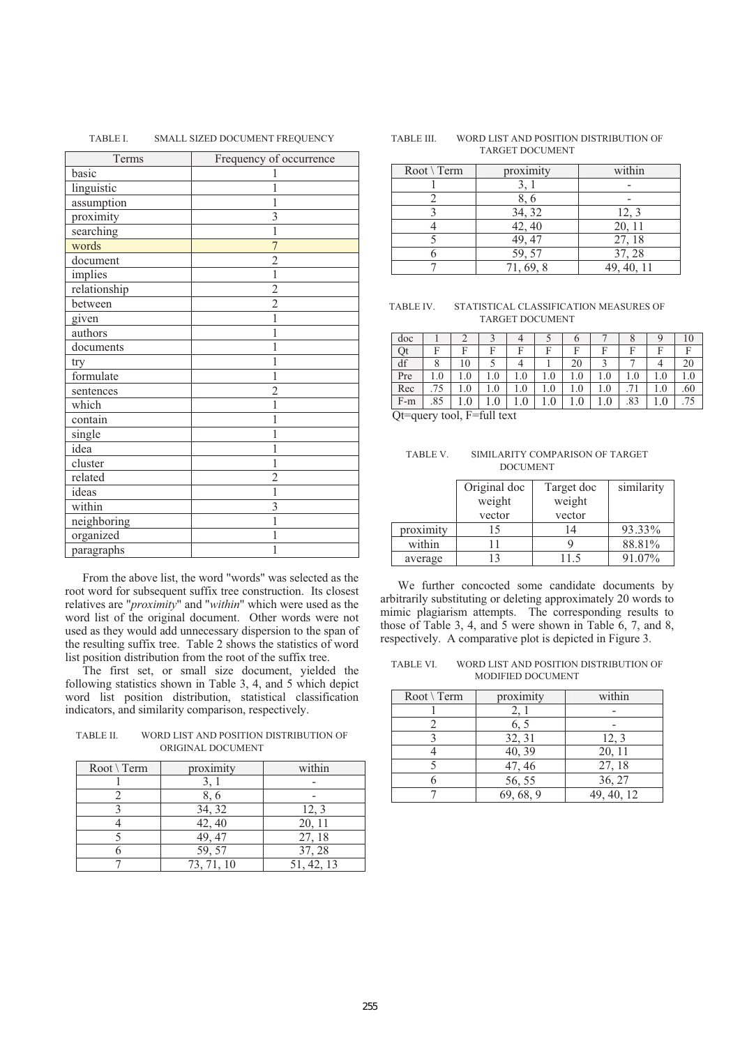| Terms        | Frequency of occurrence |
|--------------|-------------------------|
| basic        |                         |
| linguistic   | 1                       |
| assumption   |                         |
| proximity    | 3                       |
| searching    | 1                       |
| words        | $\overline{7}$          |
| document     | $\overline{2}$          |
| implies      | 1                       |
| relationship | $\overline{2}$          |
| between      | $\overline{c}$          |
| given        | 1                       |
| authors      | 1                       |
| documents    |                         |
| try          | 1                       |
| formulate    |                         |
| sentences    | $\overline{2}$          |
| which        | 1                       |
| contain      | 1                       |
| single       | 1                       |
| idea         | 1                       |
| cluster      | 1                       |
| related      | $\overline{2}$          |
| ideas        | 1                       |
| within       | 3                       |
| neighboring  | 1                       |
| organized    | 1                       |
| paragraphs   | 1                       |

From the above list, the word "words" was selected as the root word for subsequent suffix tree construction. Its closest relatives are "*proximity*" and "*within*" which were used as the word list of the original document. Other words were not used as they would add unnecessary dispersion to the span of the resulting suffix tree. Table 2 shows the statistics of word list position distribution from the root of the suffix tree.

The first set, or small size document, yielded the following statistics shown in Table 3, 4, and 5 which depict word list position distribution, statistical classification indicators, and similarity comparison, respectively.

TABLE II. WORD LIST AND POSITION DISTRIBUTION OF ORIGINAL DOCUMENT

| Root \ Term | proximity  | within     |
|-------------|------------|------------|
|             |            |            |
|             | 8.6        |            |
|             | 34, 32     | 12, 3      |
|             | 42, 40     | 20, 11     |
|             | 49, 47     | 27, 18     |
|             | 59, 57     | 37, 28     |
|             | 73, 71, 10 | 51, 42, 13 |

#### TABLE III. WORD LIST AND POSITION DISTRIBUTION OF TARGET DOCUMENT

| $Root \setminus Term$ | proximity | within     |
|-----------------------|-----------|------------|
|                       |           |            |
|                       | 8.6       |            |
|                       | 34, 32    | 12, 3      |
|                       | 42, 40    | 20, 11     |
|                       | 49, 47    | 27, 18     |
|                       | 59, 57    | 37, 28     |
|                       | 71, 69, 8 | 49, 40, 11 |

## TABLE IV. STATISTICAL CLASSIFICATION MEASURES OF TARGET DOCUMENT

|           |         |         |                  |                      | O   |            |     |     |     |
|-----------|---------|---------|------------------|----------------------|-----|------------|-----|-----|-----|
| E         | F       | E       | F                | F                    | F   | F          | F   | Е   |     |
|           | l O     |         |                  |                      | 20  |            |     |     |     |
| $\cdot$ 0 | 1.0     | 1.0     | 0.               | $\cdot$ 0            |     | 1.0        | 1.0 |     |     |
|           | $1.0\,$ | $1.0\,$ | $\cdot$          | $\Omega$ .           | 1.0 | 1.0        |     | 1.0 | .60 |
| .85       | .0      |         | $\overline{0}$ . | $\cdot$ <sup>0</sup> |     | $\Omega$ . | .83 |     |     |
|           |         |         |                  |                      |     |            |     |     |     |

Qt=query tool, F=full text

| TABLE V. | SIMILARITY COMPARISON OF TARGET |
|----------|---------------------------------|
|          | <b>DOCUMENT</b>                 |

|           | Original doc | Target doc | similarity |
|-----------|--------------|------------|------------|
|           | weight       | weight     |            |
|           | vector       | vector     |            |
| proximity |              | 14         | 93.33%     |
| within    |              |            | 88.81%     |
| average   |              | 11.5       | 91.07%     |

We further concocted some candidate documents by arbitrarily substituting or deleting approximately 20 words to mimic plagiarism attempts. The corresponding results to those of Table 3, 4, and 5 were shown in Table 6, 7, and 8, respectively. A comparative plot is depicted in Figure 3.

TABLE VI. WORD LIST AND POSITION DISTRIBUTION OF MODIFIED DOCUMENT

| $Root \setminus Term$ | proximity | within     |
|-----------------------|-----------|------------|
|                       | 2. .      |            |
|                       | 6, 5      |            |
|                       | 32, 31    | 12, 3      |
|                       | 40, 39    | 20, 11     |
|                       | 47, 46    | 27, 18     |
|                       | 56, 55    | 36, 27     |
|                       | 69, 68, 9 | 49, 40, 12 |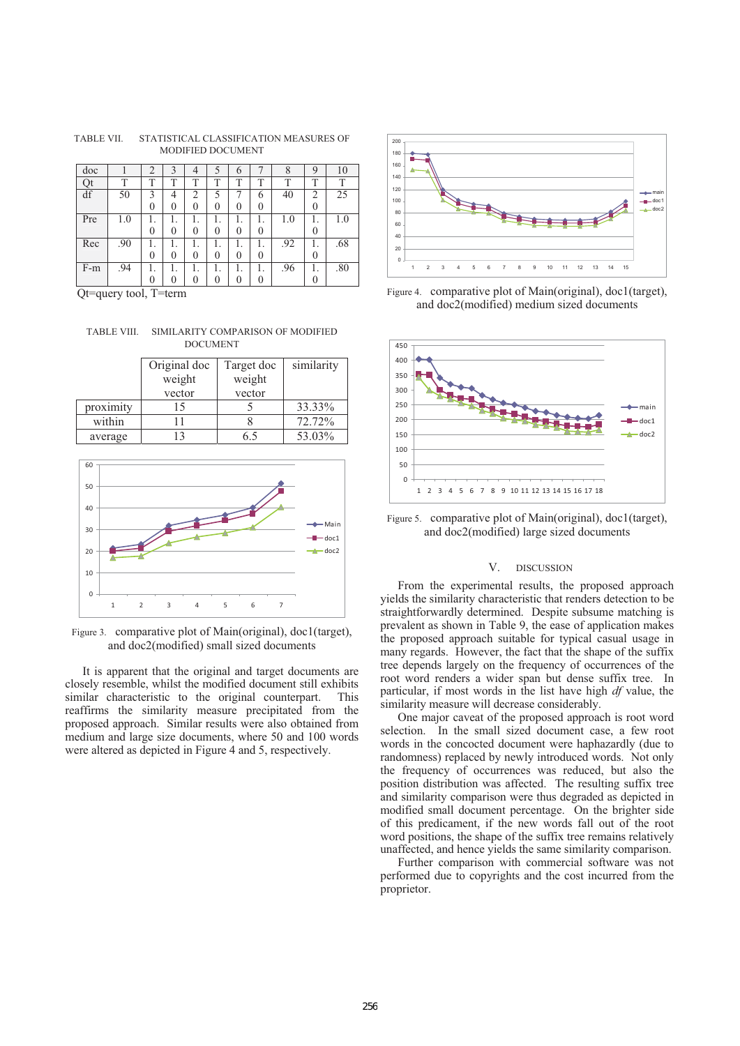| doc   |     | 2  | 3        | 4  |          | 6        |                   | 8   | 9  | 10  |
|-------|-----|----|----------|----|----------|----------|-------------------|-----|----|-----|
| Qt    | ௱   |    | Τ        | T  |          | Τ        | T                 | т   | T  | т   |
| df    | 50  | 3  | 4        | 2  |          |          | 6                 | 40  | 2  | 25  |
|       |     | 0  | 0        | 0  | $\theta$ | 0        | $\theta$          |     | 0  |     |
| Pre   | 1.0 |    | Ι.       |    |          |          |                   | 1.0 | l. | 1.0 |
|       |     | 0  | 0        | 0  | 0        | 0        | 0                 |     | 0  |     |
| Rec   | .90 | I. | 1.       | l. |          | 1.       | 1.                | .92 | I. | .68 |
|       |     | 0  | 0        | 0  | $\theta$ | 0        | 0                 |     | 0  |     |
| $F-m$ | .94 |    | 1.       | l. | ı.       |          |                   | .96 | l. | .80 |
|       |     |    | $\Omega$ | 0  |          | $\theta$ | $\mathbf{\Omega}$ |     |    |     |

TABLE VII. STATISTICAL CLASSIFICATION MEASURES OF MODIFIED DOCUMENT

Qt=query tool, T=term

TABLE VIII. SIMILARITY COMPARISON OF MODIFIED **DOCUMENT** 

|           | Original doc | Target doc | similarity |
|-----------|--------------|------------|------------|
|           | weight       | weight     |            |
|           | vector       | vector     |            |
| proximity | 15           |            | 33.33%     |
| within    |              |            | 72.72%     |
| average   |              | ና ና        | 53.03%     |



Figure 3. comparative plot of Main(original), doc1(target), and doc2(modified) small sized documents

It is apparent that the original and target documents are closely resemble, whilst the modified document still exhibits similar characteristic to the original counterpart. This reaffirms the similarity measure precipitated from the proposed approach. Similar results were also obtained from medium and large size documents, where 50 and 100 words were altered as depicted in Figure 4 and 5, respectively.



Figure 4. comparative plot of Main(original), doc1(target), and doc2(modified) medium sized documents



Figure 5. comparative plot of Main(original), doc1(target), and doc2(modified) large sized documents

## V. DISCUSSION

From the experimental results, the proposed approach yields the similarity characteristic that renders detection to be straightforwardly determined. Despite subsume matching is prevalent as shown in Table 9, the ease of application makes the proposed approach suitable for typical casual usage in many regards. However, the fact that the shape of the suffix tree depends largely on the frequency of occurrences of the root word renders a wider span but dense suffix tree. In particular, if most words in the list have high *df* value, the similarity measure will decrease considerably.

One major caveat of the proposed approach is root word selection. In the small sized document case, a few root words in the concocted document were haphazardly (due to randomness) replaced by newly introduced words. Not only the frequency of occurrences was reduced, but also the position distribution was affected. The resulting suffix tree and similarity comparison were thus degraded as depicted in modified small document percentage. On the brighter side of this predicament, if the new words fall out of the root word positions, the shape of the suffix tree remains relatively unaffected, and hence yields the same similarity comparison.

Further comparison with commercial software was not performed due to copyrights and the cost incurred from the proprietor.